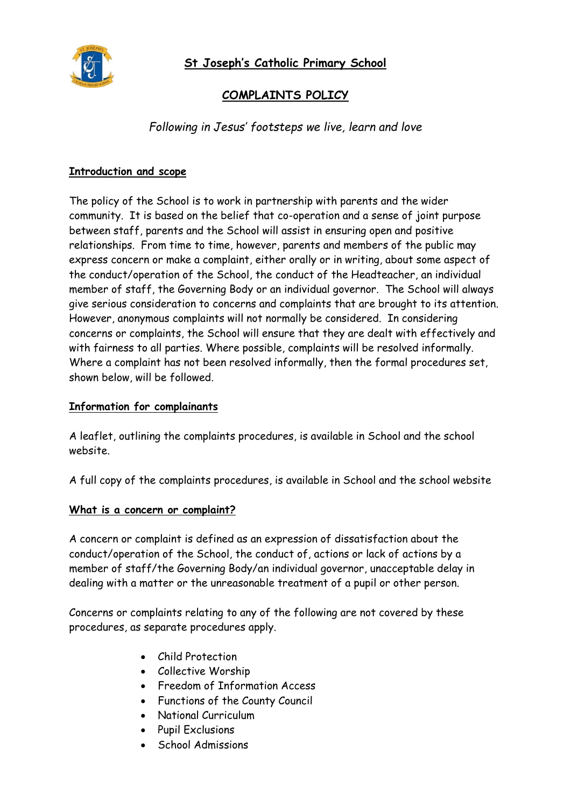

# **COMPLAINTS POLICY**

*Following in Jesus' footsteps we live, learn and love*

# **Introduction and scope**

The policy of the School is to work in partnership with parents and the wider community. It is based on the belief that co-operation and a sense of joint purpose between staff, parents and the School will assist in ensuring open and positive relationships. From time to time, however, parents and members of the public may express concern or make a complaint, either orally or in writing, about some aspect of the conduct/operation of the School, the conduct of the Headteacher, an individual member of staff, the Governing Body or an individual governor. The School will always give serious consideration to concerns and complaints that are brought to its attention. However, anonymous complaints will not normally be considered. In considering concerns or complaints, the School will ensure that they are dealt with effectively and with fairness to all parties. Where possible, complaints will be resolved informally. Where a complaint has not been resolved informally, then the formal procedures set, shown below, will be followed.

## **Information for complainants**

A leaflet, outlining the complaints procedures, is available in School and the school website.

A full copy of the complaints procedures, is available in School and the school website

## **What is a concern or complaint?**

A concern or complaint is defined as an expression of dissatisfaction about the conduct/operation of the School, the conduct of, actions or lack of actions by a member of staff/the Governing Body/an individual governor, unacceptable delay in dealing with a matter or the unreasonable treatment of a pupil or other person.

Concerns or complaints relating to any of the following are not covered by these procedures, as separate procedures apply.

- Child Protection
- Collective Worship
- Freedom of Information Access
- Functions of the County Council
- National Curriculum
- Pupil Exclusions
- School Admissions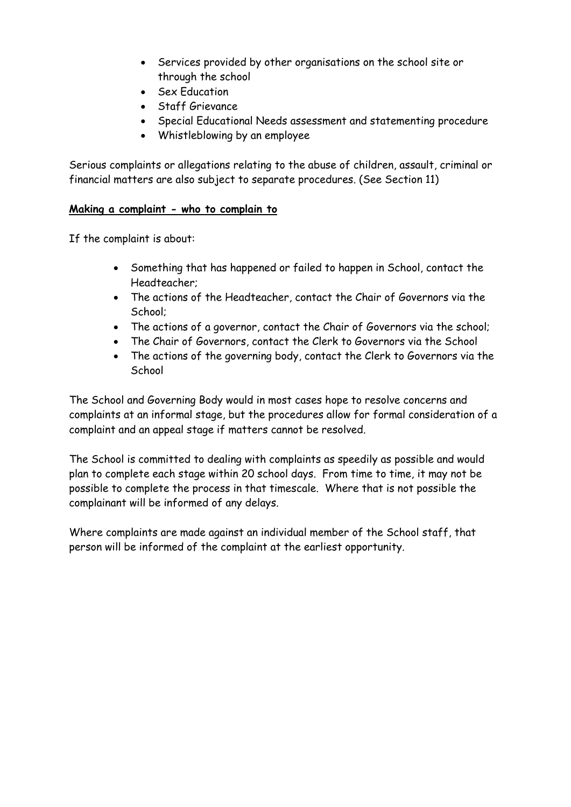- Services provided by other organisations on the school site or through the school
- Sex Education
- Staff Grievance
- Special Educational Needs assessment and statementing procedure
- Whistleblowing by an employee

Serious complaints or allegations relating to the abuse of children, assault, criminal or financial matters are also subject to separate procedures. (See Section 11)

## **Making a complaint - who to complain to**

If the complaint is about:

- Something that has happened or failed to happen in School, contact the Headteacher;
- The actions of the Headteacher, contact the Chair of Governors via the School;
- The actions of a governor, contact the Chair of Governors via the school;
- The Chair of Governors, contact the Clerk to Governors via the School
- The actions of the governing body, contact the Clerk to Governors via the **School**

The School and Governing Body would in most cases hope to resolve concerns and complaints at an informal stage, but the procedures allow for formal consideration of a complaint and an appeal stage if matters cannot be resolved.

The School is committed to dealing with complaints as speedily as possible and would plan to complete each stage within 20 school days. From time to time, it may not be possible to complete the process in that timescale. Where that is not possible the complainant will be informed of any delays.

Where complaints are made against an individual member of the School staff, that person will be informed of the complaint at the earliest opportunity.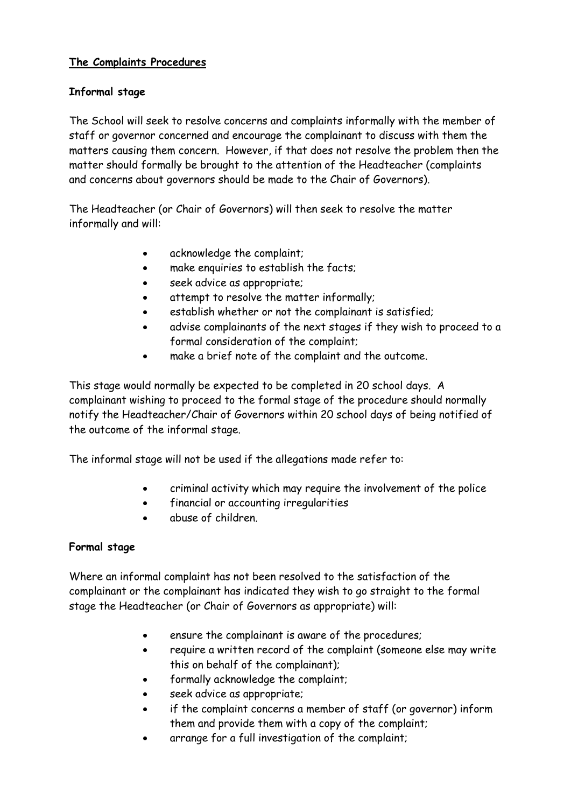# **The Complaints Procedures**

# **Informal stage**

The School will seek to resolve concerns and complaints informally with the member of staff or governor concerned and encourage the complainant to discuss with them the matters causing them concern. However, if that does not resolve the problem then the matter should formally be brought to the attention of the Headteacher (complaints and concerns about governors should be made to the Chair of Governors).

The Headteacher (or Chair of Governors) will then seek to resolve the matter informally and will:

- acknowledge the complaint;
- make enquiries to establish the facts;
- seek advice as appropriate;
- attempt to resolve the matter informally;
- establish whether or not the complainant is satisfied;
- advise complainants of the next stages if they wish to proceed to a formal consideration of the complaint;
- make a brief note of the complaint and the outcome.

This stage would normally be expected to be completed in 20 school days. A complainant wishing to proceed to the formal stage of the procedure should normally notify the Headteacher/Chair of Governors within 20 school days of being notified of the outcome of the informal stage.

The informal stage will not be used if the allegations made refer to:

- criminal activity which may require the involvement of the police
- financial or accounting irregularities
- abuse of children.

# **Formal stage**

Where an informal complaint has not been resolved to the satisfaction of the complainant or the complainant has indicated they wish to go straight to the formal stage the Headteacher (or Chair of Governors as appropriate) will:

- ensure the complainant is aware of the procedures;
- require a written record of the complaint (someone else may write this on behalf of the complainant);
- formally acknowledge the complaint;
- seek advice as appropriate;
- if the complaint concerns a member of staff (or governor) inform them and provide them with a copy of the complaint;
- arrange for a full investigation of the complaint;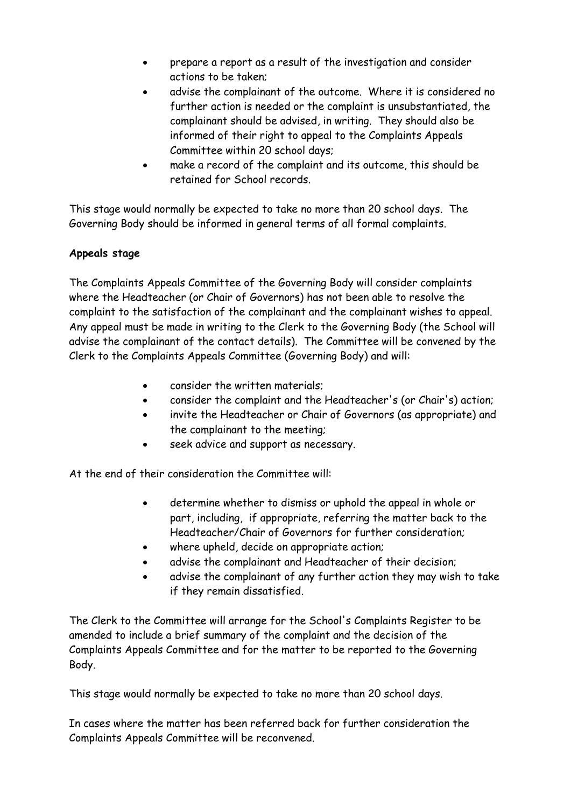- prepare a report as a result of the investigation and consider actions to be taken;
- advise the complainant of the outcome. Where it is considered no further action is needed or the complaint is unsubstantiated, the complainant should be advised, in writing. They should also be informed of their right to appeal to the Complaints Appeals Committee within 20 school days;
- make a record of the complaint and its outcome, this should be retained for School records.

This stage would normally be expected to take no more than 20 school days. The Governing Body should be informed in general terms of all formal complaints.

# **Appeals stage**

The Complaints Appeals Committee of the Governing Body will consider complaints where the Headteacher (or Chair of Governors) has not been able to resolve the complaint to the satisfaction of the complainant and the complainant wishes to appeal. Any appeal must be made in writing to the Clerk to the Governing Body (the School will advise the complainant of the contact details). The Committee will be convened by the Clerk to the Complaints Appeals Committee (Governing Body) and will:

- consider the written materials;
- consider the complaint and the Headteacher's (or Chair's) action;
- invite the Headteacher or Chair of Governors (as appropriate) and the complainant to the meeting;
- seek advice and support as necessary.

At the end of their consideration the Committee will:

- determine whether to dismiss or uphold the appeal in whole or part, including, if appropriate, referring the matter back to the Headteacher/Chair of Governors for further consideration;
- where upheld, decide on appropriate action;
- advise the complainant and Headteacher of their decision;
- advise the complainant of any further action they may wish to take if they remain dissatisfied.

The Clerk to the Committee will arrange for the School's Complaints Register to be amended to include a brief summary of the complaint and the decision of the Complaints Appeals Committee and for the matter to be reported to the Governing Body.

This stage would normally be expected to take no more than 20 school days.

In cases where the matter has been referred back for further consideration the Complaints Appeals Committee will be reconvened.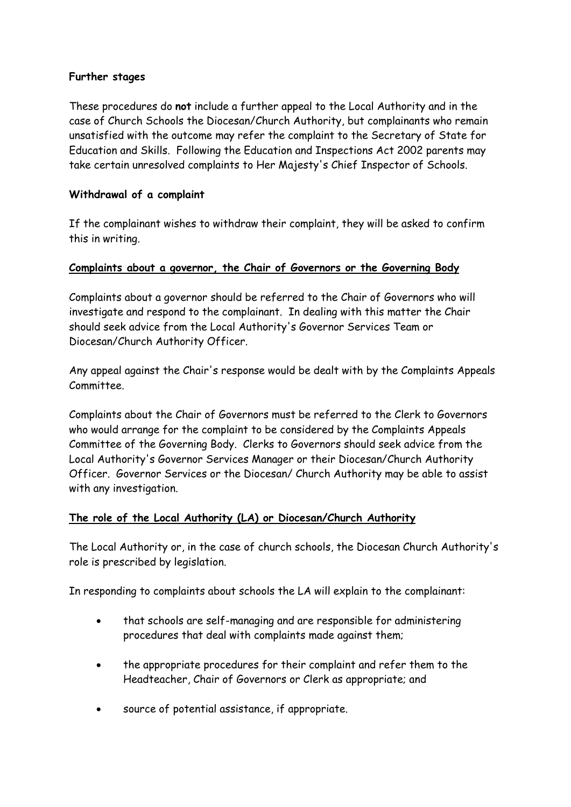## **Further stages**

These procedures do **not** include a further appeal to the Local Authority and in the case of Church Schools the Diocesan/Church Authority, but complainants who remain unsatisfied with the outcome may refer the complaint to the Secretary of State for Education and Skills. Following the Education and Inspections Act 2002 parents may take certain unresolved complaints to Her Majesty's Chief Inspector of Schools.

## **Withdrawal of a complaint**

If the complainant wishes to withdraw their complaint, they will be asked to confirm this in writing.

## **Complaints about a governor, the Chair of Governors or the Governing Body**

Complaints about a governor should be referred to the Chair of Governors who will investigate and respond to the complainant. In dealing with this matter the Chair should seek advice from the Local Authority's Governor Services Team or Diocesan/Church Authority Officer.

Any appeal against the Chair's response would be dealt with by the Complaints Appeals Committee.

Complaints about the Chair of Governors must be referred to the Clerk to Governors who would arrange for the complaint to be considered by the Complaints Appeals Committee of the Governing Body. Clerks to Governors should seek advice from the Local Authority's Governor Services Manager or their Diocesan/Church Authority Officer. Governor Services or the Diocesan/ Church Authority may be able to assist with any investigation.

## **The role of the Local Authority (LA) or Diocesan/Church Authority**

The Local Authority or, in the case of church schools, the Diocesan Church Authority's role is prescribed by legislation.

In responding to complaints about schools the LA will explain to the complainant:

- that schools are self-managing and are responsible for administering procedures that deal with complaints made against them;
- the appropriate procedures for their complaint and refer them to the Headteacher, Chair of Governors or Clerk as appropriate; and
- source of potential assistance, if appropriate.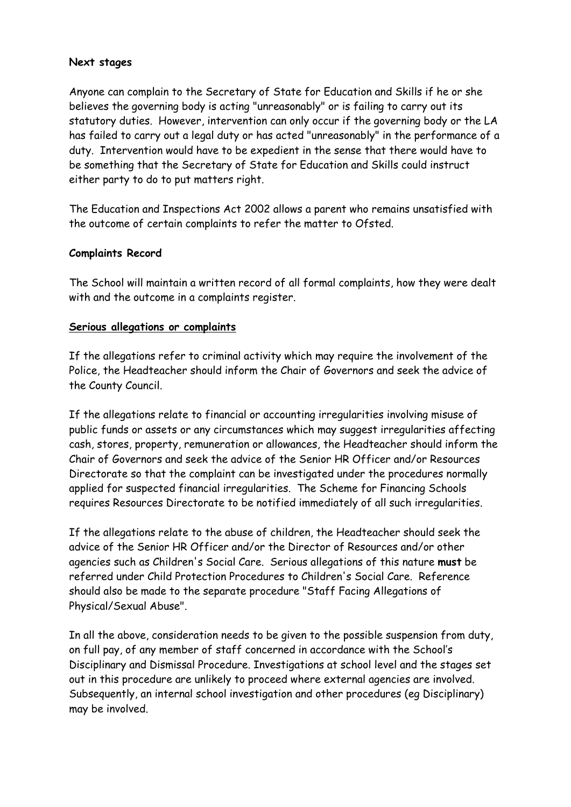#### **Next stages**

Anyone can complain to the Secretary of State for Education and Skills if he or she believes the governing body is acting "unreasonably" or is failing to carry out its statutory duties. However, intervention can only occur if the governing body or the LA has failed to carry out a legal duty or has acted "unreasonably" in the performance of a duty. Intervention would have to be expedient in the sense that there would have to be something that the Secretary of State for Education and Skills could instruct either party to do to put matters right.

The Education and Inspections Act 2002 allows a parent who remains unsatisfied with the outcome of certain complaints to refer the matter to Ofsted.

## **Complaints Record**

The School will maintain a written record of all formal complaints, how they were dealt with and the outcome in a complaints register.

#### **Serious allegations or complaints**

If the allegations refer to criminal activity which may require the involvement of the Police, the Headteacher should inform the Chair of Governors and seek the advice of the County Council.

If the allegations relate to financial or accounting irregularities involving misuse of public funds or assets or any circumstances which may suggest irregularities affecting cash, stores, property, remuneration or allowances, the Headteacher should inform the Chair of Governors and seek the advice of the Senior HR Officer and/or Resources Directorate so that the complaint can be investigated under the procedures normally applied for suspected financial irregularities. The Scheme for Financing Schools requires Resources Directorate to be notified immediately of all such irregularities.

If the allegations relate to the abuse of children, the Headteacher should seek the advice of the Senior HR Officer and/or the Director of Resources and/or other agencies such as Children's Social Care. Serious allegations of this nature **must** be referred under Child Protection Procedures to Children's Social Care. Reference should also be made to the separate procedure "Staff Facing Allegations of Physical/Sexual Abuse".

In all the above, consideration needs to be given to the possible suspension from duty, on full pay, of any member of staff concerned in accordance with the School's Disciplinary and Dismissal Procedure. Investigations at school level and the stages set out in this procedure are unlikely to proceed where external agencies are involved. Subsequently, an internal school investigation and other procedures (eg Disciplinary) may be involved.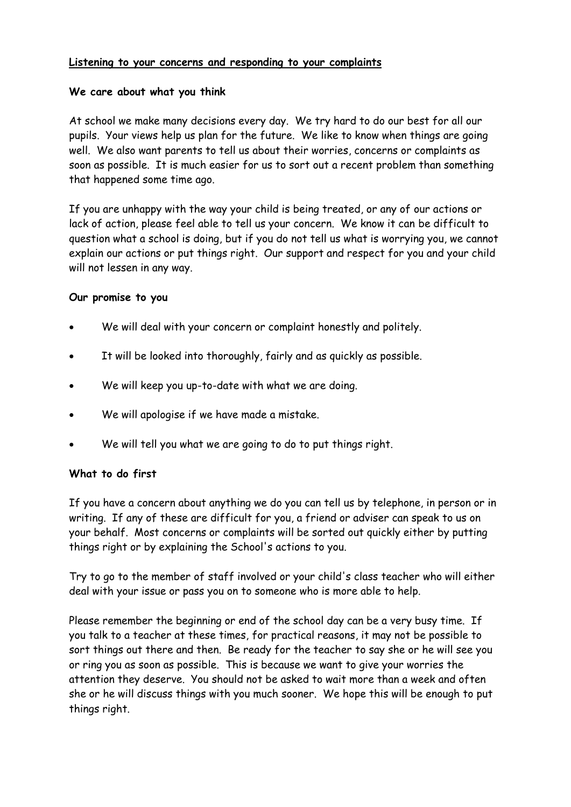## **Listening to your concerns and responding to your complaints**

## **We care about what you think**

At school we make many decisions every day. We try hard to do our best for all our pupils. Your views help us plan for the future. We like to know when things are going well. We also want parents to tell us about their worries, concerns or complaints as soon as possible. It is much easier for us to sort out a recent problem than something that happened some time ago.

If you are unhappy with the way your child is being treated, or any of our actions or lack of action, please feel able to tell us your concern. We know it can be difficult to question what a school is doing, but if you do not tell us what is worrying you, we cannot explain our actions or put things right. Our support and respect for you and your child will not lessen in any way.

## **Our promise to you**

- We will deal with your concern or complaint honestly and politely.
- It will be looked into thoroughly, fairly and as quickly as possible.
- We will keep you up-to-date with what we are doing.
- We will apologise if we have made a mistake.
- We will tell you what we are going to do to put things right.

# **What to do first**

If you have a concern about anything we do you can tell us by telephone, in person or in writing. If any of these are difficult for you, a friend or adviser can speak to us on your behalf. Most concerns or complaints will be sorted out quickly either by putting things right or by explaining the School's actions to you.

Try to go to the member of staff involved or your child's class teacher who will either deal with your issue or pass you on to someone who is more able to help.

Please remember the beginning or end of the school day can be a very busy time. If you talk to a teacher at these times, for practical reasons, it may not be possible to sort things out there and then. Be ready for the teacher to say she or he will see you or ring you as soon as possible. This is because we want to give your worries the attention they deserve. You should not be asked to wait more than a week and often she or he will discuss things with you much sooner. We hope this will be enough to put things right.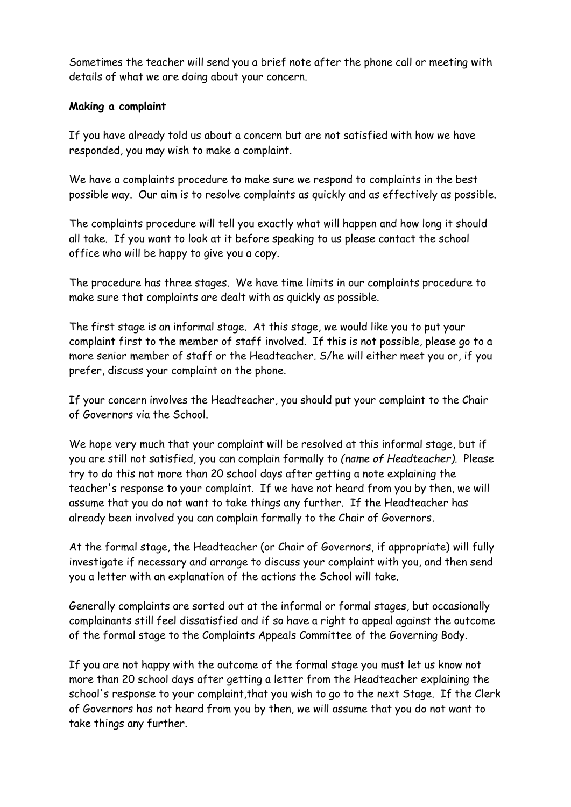Sometimes the teacher will send you a brief note after the phone call or meeting with details of what we are doing about your concern.

### **Making a complaint**

If you have already told us about a concern but are not satisfied with how we have responded, you may wish to make a complaint.

We have a complaints procedure to make sure we respond to complaints in the best possible way. Our aim is to resolve complaints as quickly and as effectively as possible.

The complaints procedure will tell you exactly what will happen and how long it should all take. If you want to look at it before speaking to us please contact the school office who will be happy to give you a copy.

The procedure has three stages. We have time limits in our complaints procedure to make sure that complaints are dealt with as quickly as possible.

The first stage is an informal stage. At this stage, we would like you to put your complaint first to the member of staff involved. If this is not possible, please go to a more senior member of staff or the Headteacher*.* S/he will either meet you or, if you prefer, discuss your complaint on the phone.

If your concern involves the Headteacher*,* you should put your complaint to the Chair of Governors via the School.

We hope very much that your complaint will be resolved at this informal stage, but if you are still not satisfied, you can complain formally to *(name of Headteacher).* Please try to do this not more than 20 school days after getting a note explaining the teacher's response to your complaint. If we have not heard from you by then, we will assume that you do not want to take things any further. If the Headteacher has already been involved you can complain formally to the Chair of Governors*.*

At the formal stage, the Headteacher (or Chair of Governors, if appropriate) will fully investigate if necessary and arrange to discuss your complaint with you, and then send you a letter with an explanation of the actions the School will take.

Generally complaints are sorted out at the informal or formal stages, but occasionally complainants still feel dissatisfied and if so have a right to appeal against the outcome of the formal stage to the Complaints Appeals Committee of the Governing Body.

If you are not happy with the outcome of the formal stage you must let us know not more than 20 school days after getting a letter from the Headteacher explaining the school's response to your complaint, that you wish to go to the next Stage. If the Clerk of Governors has not heard from you by then, we will assume that you do not want to take things any further.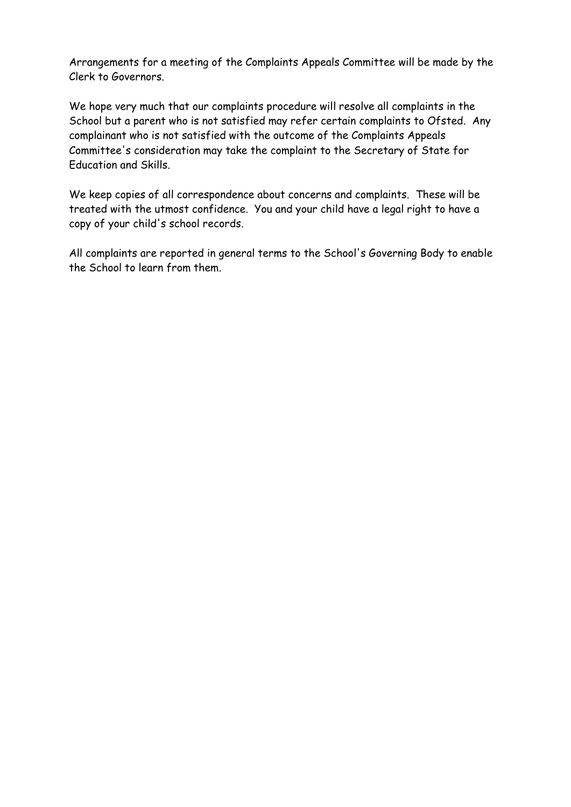Arrangements for a meeting of the Complaints Appeals Committee will be made by the Clerk to Governors.

We hope very much that our complaints procedure will resolve all complaints in the School but a parent who is not satisfied may refer certain complaints to Ofsted. Any complainant who is not satisfied with the outcome of the Complaints Appeals Committee's consideration may take the complaint to the Secretary of State for Education and Skills.

We keep copies of all correspondence about concerns and complaints. These will be treated with the utmost confidence. You and your child have a legal right to have a copy of your child's school records.

All complaints are reported in general terms to the School's Governing Body to enable the School to learn from them.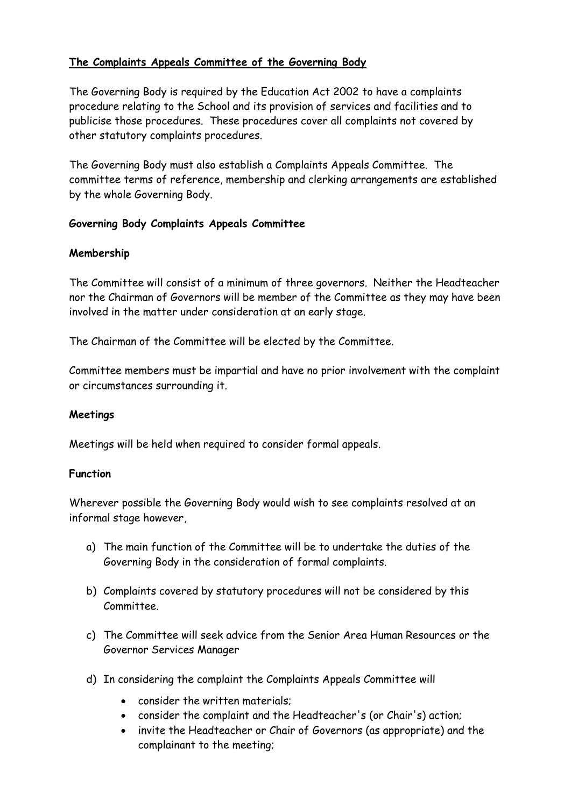# **The Complaints Appeals Committee of the Governing Body**

The Governing Body is required by the Education Act 2002 to have a complaints procedure relating to the School and its provision of services and facilities and to publicise those procedures. These procedures cover all complaints not covered by other statutory complaints procedures.

The Governing Body must also establish a Complaints Appeals Committee. The committee terms of reference, membership and clerking arrangements are established by the whole Governing Body.

## **Governing Body Complaints Appeals Committee**

## **Membership**

The Committee will consist of a minimum of three governors. Neither the Headteacher nor the Chairman of Governors will be member of the Committee as they may have been involved in the matter under consideration at an early stage.

The Chairman of the Committee will be elected by the Committee.

Committee members must be impartial and have no prior involvement with the complaint or circumstances surrounding it.

# **Meetings**

Meetings will be held when required to consider formal appeals.

## **Function**

Wherever possible the Governing Body would wish to see complaints resolved at an informal stage however,

- a) The main function of the Committee will be to undertake the duties of the Governing Body in the consideration of formal complaints.
- b) Complaints covered by statutory procedures will not be considered by this Committee.
- c) The Committee will seek advice from the Senior Area Human Resources or the Governor Services Manager
- d) In considering the complaint the Complaints Appeals Committee will
	- consider the written materials;
	- consider the complaint and the Headteacher's (or Chair's) action;
	- invite the Headteacher or Chair of Governors (as appropriate) and the complainant to the meeting;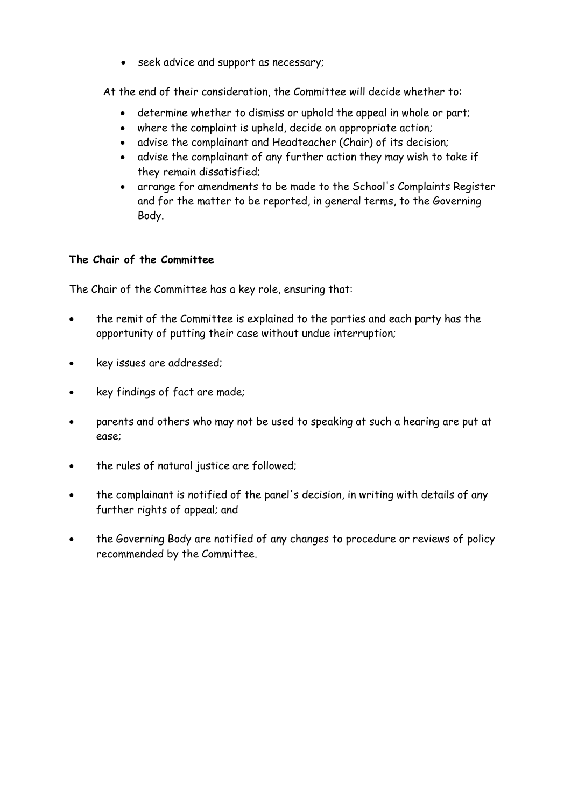seek advice and support as necessary;

At the end of their consideration, the Committee will decide whether to:

- determine whether to dismiss or uphold the appeal in whole or part;
- where the complaint is upheld, decide on appropriate action;
- advise the complainant and Headteacher (Chair) of its decision;
- advise the complainant of any further action they may wish to take if they remain dissatisfied;
- arrange for amendments to be made to the School's Complaints Register and for the matter to be reported, in general terms, to the Governing Body.

## **The Chair of the Committee**

The Chair of the Committee has a key role, ensuring that:

- the remit of the Committee is explained to the parties and each party has the opportunity of putting their case without undue interruption;
- key issues are addressed;
- key findings of fact are made;
- parents and others who may not be used to speaking at such a hearing are put at ease;
- the rules of natural justice are followed;
- the complainant is notified of the panel's decision, in writing with details of any further rights of appeal; and
- the Governing Body are notified of any changes to procedure or reviews of policy recommended by the Committee.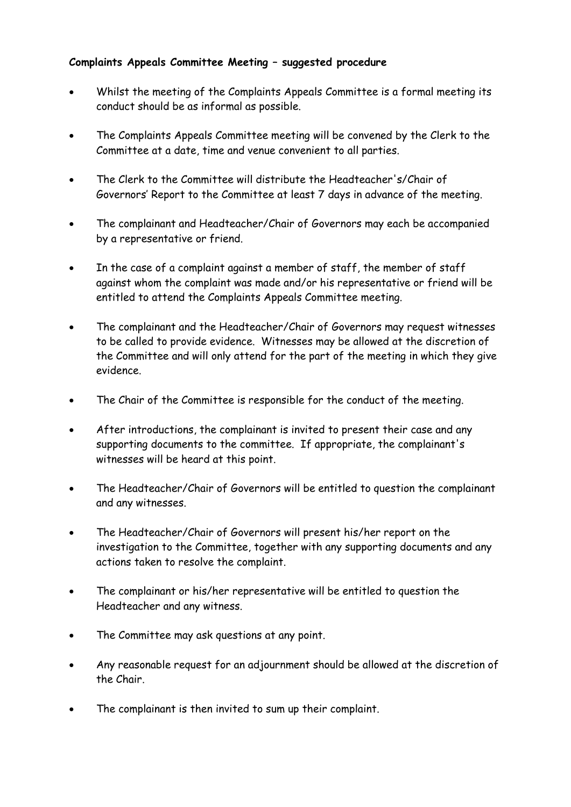# **Complaints Appeals Committee Meeting – suggested procedure**

- Whilst the meeting of the Complaints Appeals Committee is a formal meeting its conduct should be as informal as possible.
- The Complaints Appeals Committee meeting will be convened by the Clerk to the Committee at a date, time and venue convenient to all parties.
- The Clerk to the Committee will distribute the Headteacher's/Chair of Governors' Report to the Committee at least 7 days in advance of the meeting.
- The complainant and Headteacher/Chair of Governors may each be accompanied by a representative or friend.
- In the case of a complaint against a member of staff, the member of staff against whom the complaint was made and/or his representative or friend will be entitled to attend the Complaints Appeals Committee meeting.
- The complainant and the Headteacher/Chair of Governors may request witnesses to be called to provide evidence. Witnesses may be allowed at the discretion of the Committee and will only attend for the part of the meeting in which they give evidence.
- The Chair of the Committee is responsible for the conduct of the meeting.
- After introductions, the complainant is invited to present their case and any supporting documents to the committee. If appropriate, the complainant's witnesses will be heard at this point.
- The Headteacher/Chair of Governors will be entitled to question the complainant and any witnesses.
- The Headteacher/Chair of Governors will present his/her report on the investigation to the Committee, together with any supporting documents and any actions taken to resolve the complaint.
- The complainant or his/her representative will be entitled to question the Headteacher and any witness.
- The Committee may ask questions at any point.
- Any reasonable request for an adjournment should be allowed at the discretion of the Chair.
- The complainant is then invited to sum up their complaint.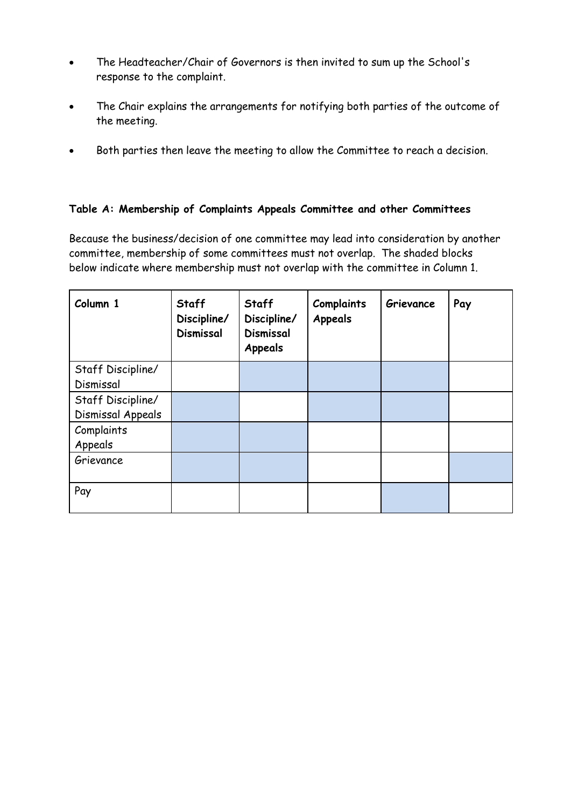- The Headteacher/Chair of Governors is then invited to sum up the School's response to the complaint.
- The Chair explains the arrangements for notifying both parties of the outcome of the meeting.
- Both parties then leave the meeting to allow the Committee to reach a decision.

## **Table A: Membership of Complaints Appeals Committee and other Committees**

Because the business/decision of one committee may lead into consideration by another committee, membership of some committees must not overlap. The shaded blocks below indicate where membership must not overlap with the committee in Column 1.

| Column 1                               | <b>Staff</b><br>Discipline/<br><b>Dismissal</b> | <b>Staff</b><br>Discipline/<br><b>Dismissal</b><br><b>Appeals</b> | <b>Complaints</b><br>Appeals | Grievance | Pay |
|----------------------------------------|-------------------------------------------------|-------------------------------------------------------------------|------------------------------|-----------|-----|
| Staff Discipline/<br>Dismissal         |                                                 |                                                                   |                              |           |     |
| Staff Discipline/<br>Dismissal Appeals |                                                 |                                                                   |                              |           |     |
| Complaints<br>Appeals                  |                                                 |                                                                   |                              |           |     |
| Grievance                              |                                                 |                                                                   |                              |           |     |
| Pay                                    |                                                 |                                                                   |                              |           |     |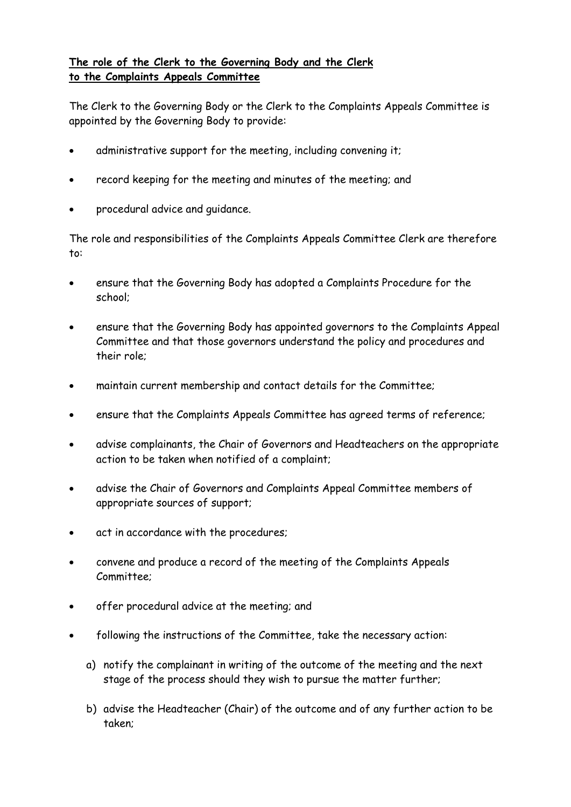# **The role of the Clerk to the Governing Body and the Clerk to the Complaints Appeals Committee**

The Clerk to the Governing Body or the Clerk to the Complaints Appeals Committee is appointed by the Governing Body to provide:

- administrative support for the meeting, including convening it;
- record keeping for the meeting and minutes of the meeting; and
- procedural advice and guidance.

The role and responsibilities of the Complaints Appeals Committee Clerk are therefore to:

- ensure that the Governing Body has adopted a Complaints Procedure for the school;
- ensure that the Governing Body has appointed governors to the Complaints Appeal Committee and that those governors understand the policy and procedures and their role;
- maintain current membership and contact details for the Committee;
- ensure that the Complaints Appeals Committee has agreed terms of reference;
- advise complainants, the Chair of Governors and Headteachers on the appropriate action to be taken when notified of a complaint;
- advise the Chair of Governors and Complaints Appeal Committee members of appropriate sources of support;
- act in accordance with the procedures;
- convene and produce a record of the meeting of the Complaints Appeals Committee;
- offer procedural advice at the meeting; and
- following the instructions of the Committee, take the necessary action:
	- a) notify the complainant in writing of the outcome of the meeting and the next stage of the process should they wish to pursue the matter further;
	- b) advise the Headteacher (Chair) of the outcome and of any further action to be taken;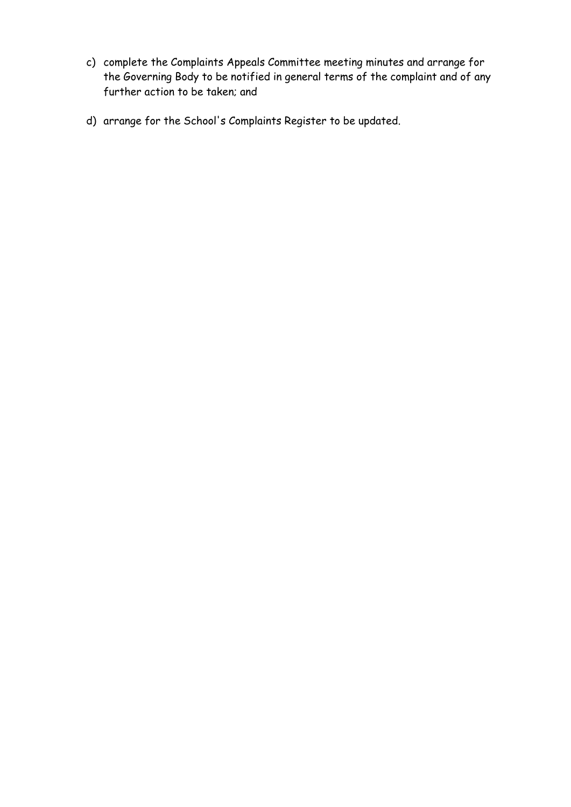- c) complete the Complaints Appeals Committee meeting minutes and arrange for the Governing Body to be notified in general terms of the complaint and of any further action to be taken; and
- d) arrange for the School's Complaints Register to be updated.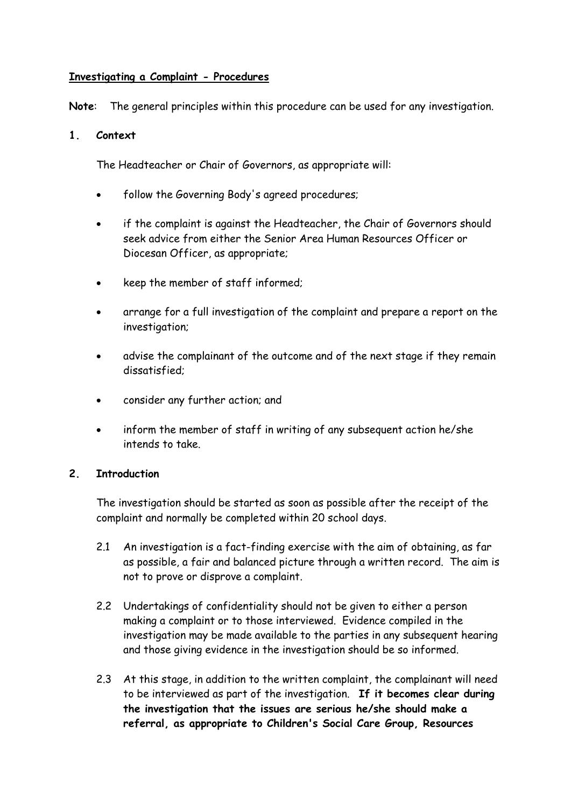## **Investigating a Complaint - Procedures**

**Note**: The general principles within this procedure can be used for any investigation.

## **1. Context**

The Headteacher or Chair of Governors, as appropriate will:

- follow the Governing Body's agreed procedures;
- if the complaint is against the Headteacher, the Chair of Governors should seek advice from either the Senior Area Human Resources Officer or Diocesan Officer, as appropriate;
- keep the member of staff informed;
- arrange for a full investigation of the complaint and prepare a report on the investigation;
- advise the complainant of the outcome and of the next stage if they remain dissatisfied;
- consider any further action; and
- inform the member of staff in writing of any subsequent action he/she intends to take.

## **2. Introduction**

The investigation should be started as soon as possible after the receipt of the complaint and normally be completed within 20 school days.

- 2.1 An investigation is a fact-finding exercise with the aim of obtaining, as far as possible, a fair and balanced picture through a written record. The aim is not to prove or disprove a complaint.
- 2.2 Undertakings of confidentiality should not be given to either a person making a complaint or to those interviewed. Evidence compiled in the investigation may be made available to the parties in any subsequent hearing and those giving evidence in the investigation should be so informed.
- 2.3 At this stage, in addition to the written complaint, the complainant will need to be interviewed as part of the investigation. **If it becomes clear during the investigation that the issues are serious he/she should make a referral, as appropriate to Children's Social Care Group, Resources**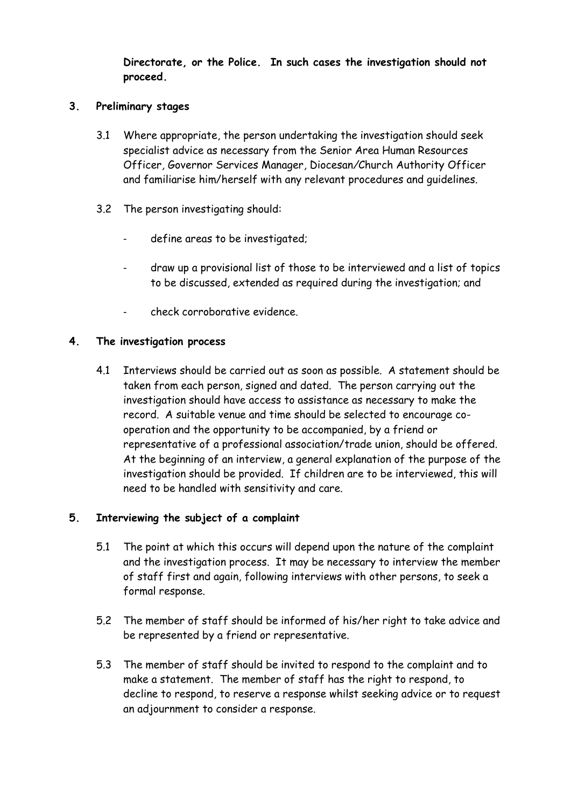**Directorate, or the Police. In such cases the investigation should not proceed.**

## **3. Preliminary stages**

- 3.1 Where appropriate, the person undertaking the investigation should seek specialist advice as necessary from the Senior Area Human Resources Officer*,* Governor Services Manager*,* Diocesan*/*Church Authority Officer and familiarise him/herself with any relevant procedures and guidelines.
- 3.2 The person investigating should:
	- define areas to be investigated;
	- draw up a provisional list of those to be interviewed and a list of topics to be discussed, extended as required during the investigation; and
	- check corroborative evidence.

## **4. The investigation process**

4.1 Interviews should be carried out as soon as possible. A statement should be taken from each person, signed and dated. The person carrying out the investigation should have access to assistance as necessary to make the record. A suitable venue and time should be selected to encourage cooperation and the opportunity to be accompanied, by a friend or representative of a professional association/trade union, should be offered. At the beginning of an interview, a general explanation of the purpose of the investigation should be provided. If children are to be interviewed, this will need to be handled with sensitivity and care.

## **5. Interviewing the subject of a complaint**

- 5.1 The point at which this occurs will depend upon the nature of the complaint and the investigation process. It may be necessary to interview the member of staff first and again, following interviews with other persons, to seek a formal response.
- 5.2 The member of staff should be informed of his/her right to take advice and be represented by a friend or representative.
- 5.3 The member of staff should be invited to respond to the complaint and to make a statement. The member of staff has the right to respond, to decline to respond, to reserve a response whilst seeking advice or to request an adjournment to consider a response.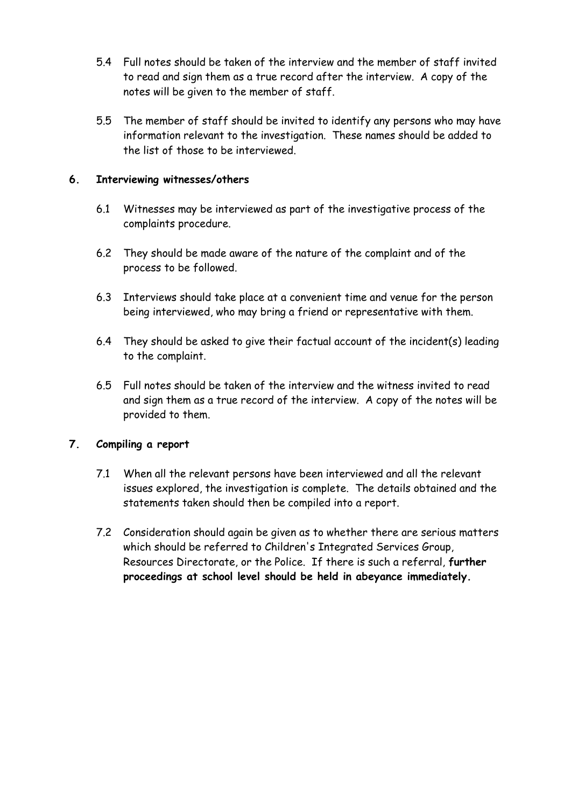- 5.4 Full notes should be taken of the interview and the member of staff invited to read and sign them as a true record after the interview. A copy of the notes will be given to the member of staff.
- 5.5 The member of staff should be invited to identify any persons who may have information relevant to the investigation. These names should be added to the list of those to be interviewed.

## **6. Interviewing witnesses/others**

- 6.1 Witnesses may be interviewed as part of the investigative process of the complaints procedure.
- 6.2 They should be made aware of the nature of the complaint and of the process to be followed.
- 6.3 Interviews should take place at a convenient time and venue for the person being interviewed, who may bring a friend or representative with them.
- 6.4 They should be asked to give their factual account of the incident(s) leading to the complaint.
- 6.5 Full notes should be taken of the interview and the witness invited to read and sign them as a true record of the interview. A copy of the notes will be provided to them.

## **7. Compiling a report**

- 7.1 When all the relevant persons have been interviewed and all the relevant issues explored, the investigation is complete. The details obtained and the statements taken should then be compiled into a report.
- 7.2 Consideration should again be given as to whether there are serious matters which should be referred to Children's Integrated Services Group, Resources Directorate, or the Police. If there is such a referral, **further proceedings at school level should be held in abeyance immediately.**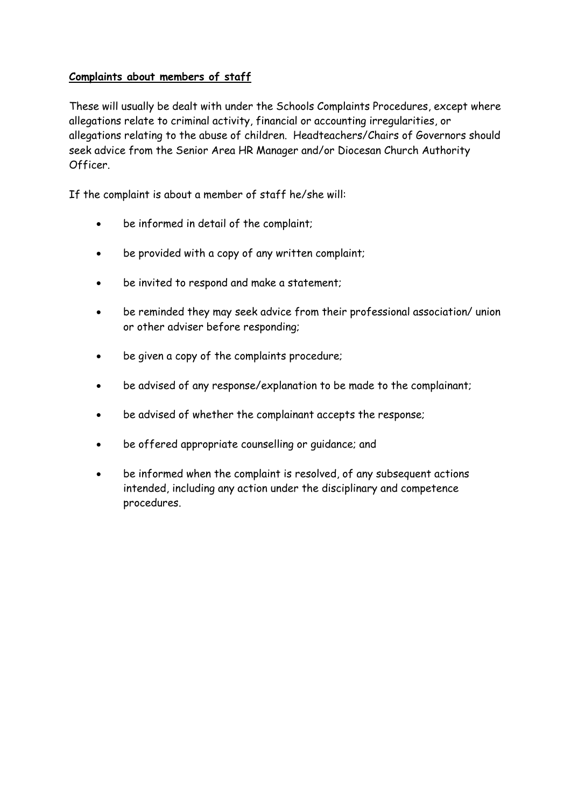# **Complaints about members of staff**

These will usually be dealt with under the Schools Complaints Procedures, except where allegations relate to criminal activity, financial or accounting irregularities, or allegations relating to the abuse of children. Headteachers/Chairs of Governors should seek advice from the Senior Area HR Manager and/or Diocesan Church Authority Officer.

If the complaint is about a member of staff he/she will:

- be informed in detail of the complaint;
- be provided with a copy of any written complaint;
- be invited to respond and make a statement;
- be reminded they may seek advice from their professional association/ union or other adviser before responding;
- be given a copy of the complaints procedure;
- be advised of any response/explanation to be made to the complainant;
- be advised of whether the complainant accepts the response;
- be offered appropriate counselling or guidance; and
- be informed when the complaint is resolved, of any subsequent actions intended, including any action under the disciplinary and competence procedures.